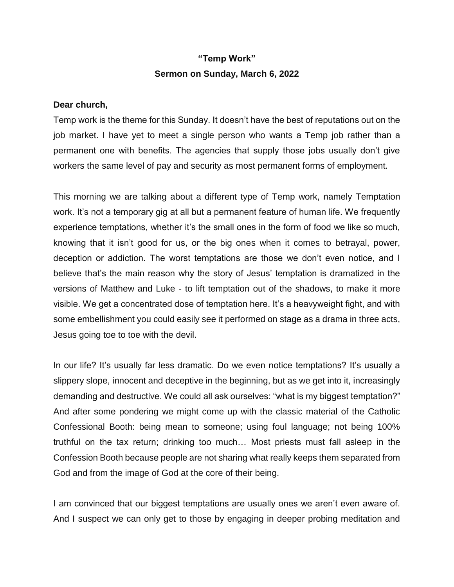## **"Temp Work" Sermon on Sunday, March 6, 2022**

## **Dear church,**

Temp work is the theme for this Sunday. It doesn't have the best of reputations out on the job market. I have yet to meet a single person who wants a Temp job rather than a permanent one with benefits. The agencies that supply those jobs usually don't give workers the same level of pay and security as most permanent forms of employment.

This morning we are talking about a different type of Temp work, namely Temptation work. It's not a temporary gig at all but a permanent feature of human life. We frequently experience temptations, whether it's the small ones in the form of food we like so much, knowing that it isn't good for us, or the big ones when it comes to betrayal, power, deception or addiction. The worst temptations are those we don't even notice, and I believe that's the main reason why the story of Jesus' temptation is dramatized in the versions of Matthew and Luke - to lift temptation out of the shadows, to make it more visible. We get a concentrated dose of temptation here. It's a heavyweight fight, and with some embellishment you could easily see it performed on stage as a drama in three acts, Jesus going toe to toe with the devil.

In our life? It's usually far less dramatic. Do we even notice temptations? It's usually a slippery slope, innocent and deceptive in the beginning, but as we get into it, increasingly demanding and destructive. We could all ask ourselves: "what is my biggest temptation?" And after some pondering we might come up with the classic material of the Catholic Confessional Booth: being mean to someone; using foul language; not being 100% truthful on the tax return; drinking too much… Most priests must fall asleep in the Confession Booth because people are not sharing what really keeps them separated from God and from the image of God at the core of their being.

I am convinced that our biggest temptations are usually ones we aren't even aware of. And I suspect we can only get to those by engaging in deeper probing meditation and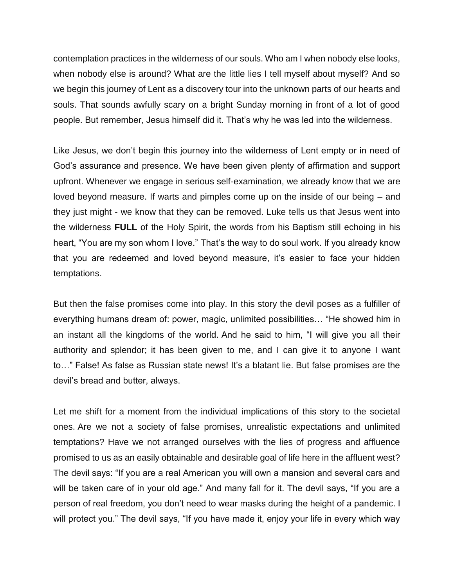contemplation practices in the wilderness of our souls. Who am I when nobody else looks, when nobody else is around? What are the little lies I tell myself about myself? And so we begin this journey of Lent as a discovery tour into the unknown parts of our hearts and souls. That sounds awfully scary on a bright Sunday morning in front of a lot of good people. But remember, Jesus himself did it. That's why he was led into the wilderness.

Like Jesus, we don't begin this journey into the wilderness of Lent empty or in need of God's assurance and presence. We have been given plenty of affirmation and support upfront. Whenever we engage in serious self-examination, we already know that we are loved beyond measure. If warts and pimples come up on the inside of our being – and they just might - we know that they can be removed. Luke tells us that Jesus went into the wilderness **FULL** of the Holy Spirit, the words from his Baptism still echoing in his heart, "You are my son whom I love." That's the way to do soul work. If you already know that you are redeemed and loved beyond measure, it's easier to face your hidden temptations.

But then the false promises come into play. In this story the devil poses as a fulfiller of everything humans dream of: power, magic, unlimited possibilities… "He showed him in an instant all the kingdoms of the world. And he said to him, "I will give you all their authority and splendor; it has been given to me, and I can give it to anyone I want to…" False! As false as Russian state news! It's a blatant lie. But false promises are the devil's bread and butter, always.

Let me shift for a moment from the individual implications of this story to the societal ones. Are we not a society of false promises, unrealistic expectations and unlimited temptations? Have we not arranged ourselves with the lies of progress and affluence promised to us as an easily obtainable and desirable goal of life here in the affluent west? The devil says: "If you are a real American you will own a mansion and several cars and will be taken care of in your old age." And many fall for it. The devil says, "If you are a person of real freedom, you don't need to wear masks during the height of a pandemic. I will protect you." The devil says, "If you have made it, enjoy your life in every which way